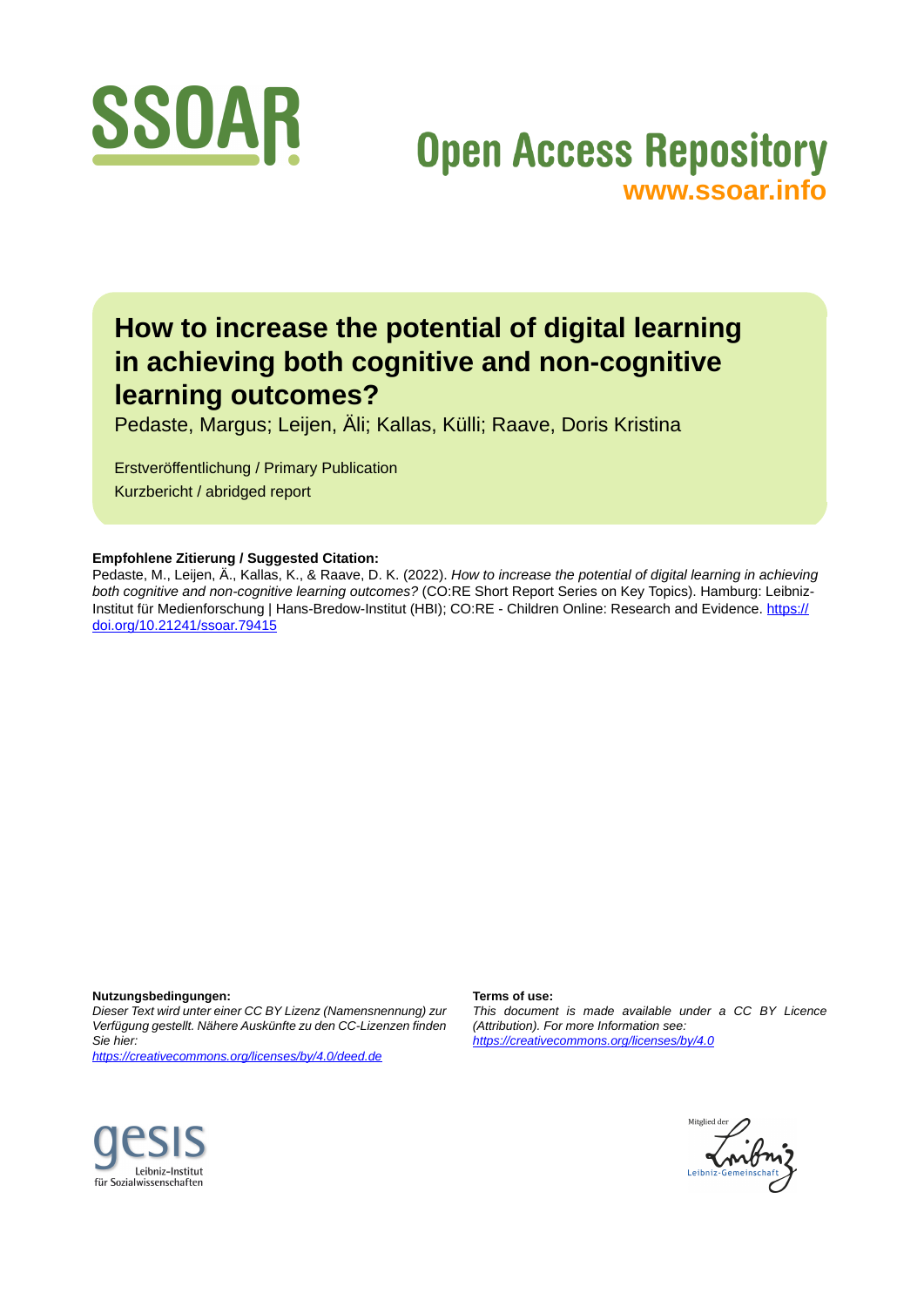

# **Open Access Repository [www.ssoar.info](http://www.ssoar.info)**

# **How to increase the potential of digital learning in achieving both cognitive and non-cognitive learning outcomes?**

Pedaste, Margus; Leijen, Äli; Kallas, Külli; Raave, Doris Kristina

Erstveröffentlichung / Primary Publication Kurzbericht / abridged report

#### **Empfohlene Zitierung / Suggested Citation:**

Pedaste, M., Leijen, Ä., Kallas, K., & Raave, D. K. (2022). *How to increase the potential of digital learning in achieving both cognitive and non-cognitive learning outcomes?* (CO:RE Short Report Series on Key Topics). Hamburg: LeibnizInstitut für Medienforschung | Hans-Bredow-Institut (HBI); CO:RE - Children Online: Research and Evidence. [https://](https://doi.org/10.21241/ssoar.79415) [doi.org/10.21241/ssoar.79415](https://doi.org/10.21241/ssoar.79415)

**Nutzungsbedingungen:**

*Dieser Text wird unter einer CC BY Lizenz (Namensnennung) zur Verfügung gestellt. Nähere Auskünfte zu den CC-Lizenzen finden Sie hier:*

*<https://creativecommons.org/licenses/by/4.0/deed.de>*

#### **Terms of use:**

*This document is made available under a CC BY Licence (Attribution). For more Information see: <https://creativecommons.org/licenses/by/4.0>*



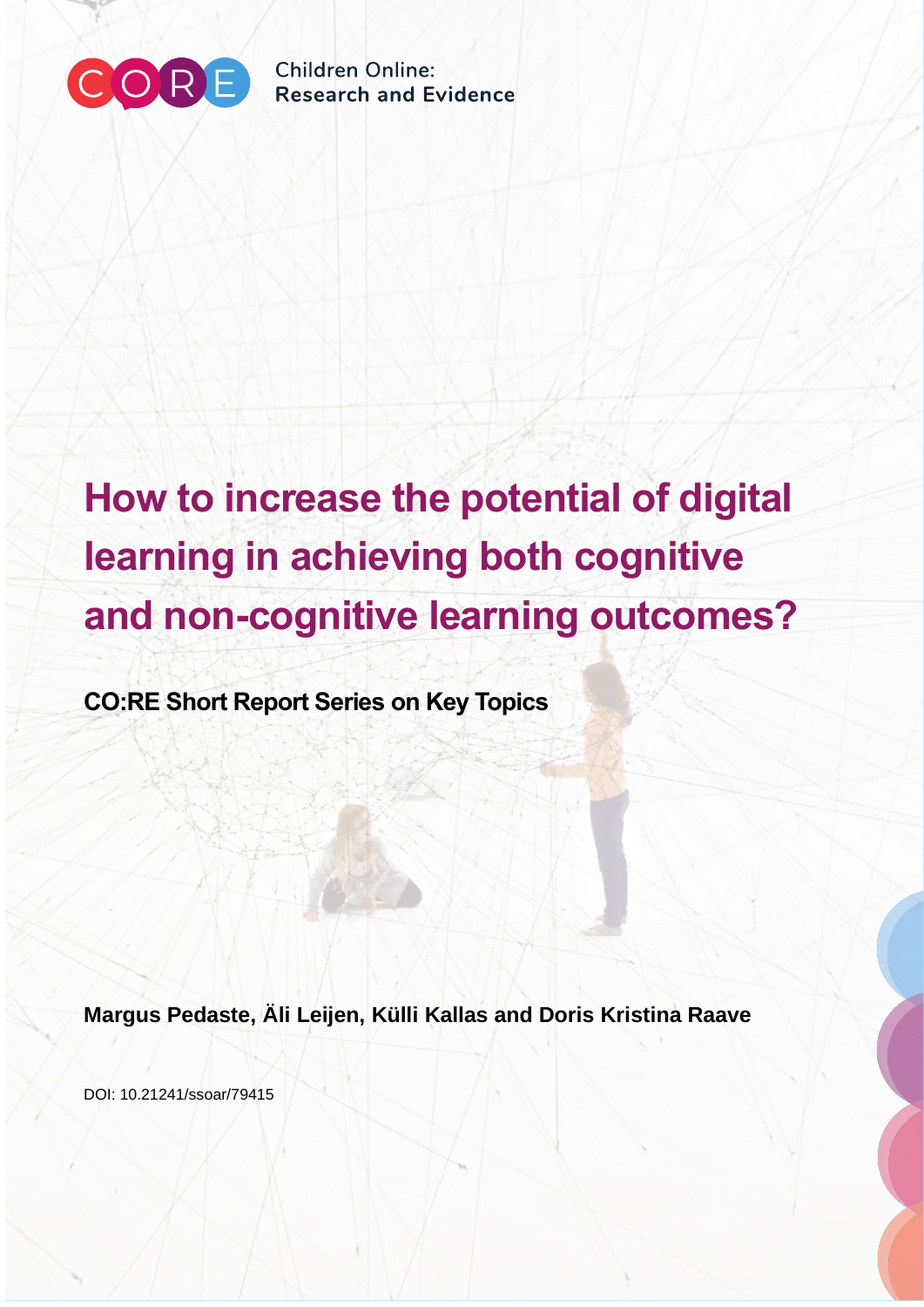

Children Online: **Research and Evidence** 

# **How to increase the potential of digital learning in achieving both cognitive and non-cognitive learning outcomes?**

**CO:RE Short Report Series on Key Topics**

**Margus Pedaste, Äli Leijen, Külli Kallas and Doris Kristina Raave**

DOI: 10.21241/ssoar/79415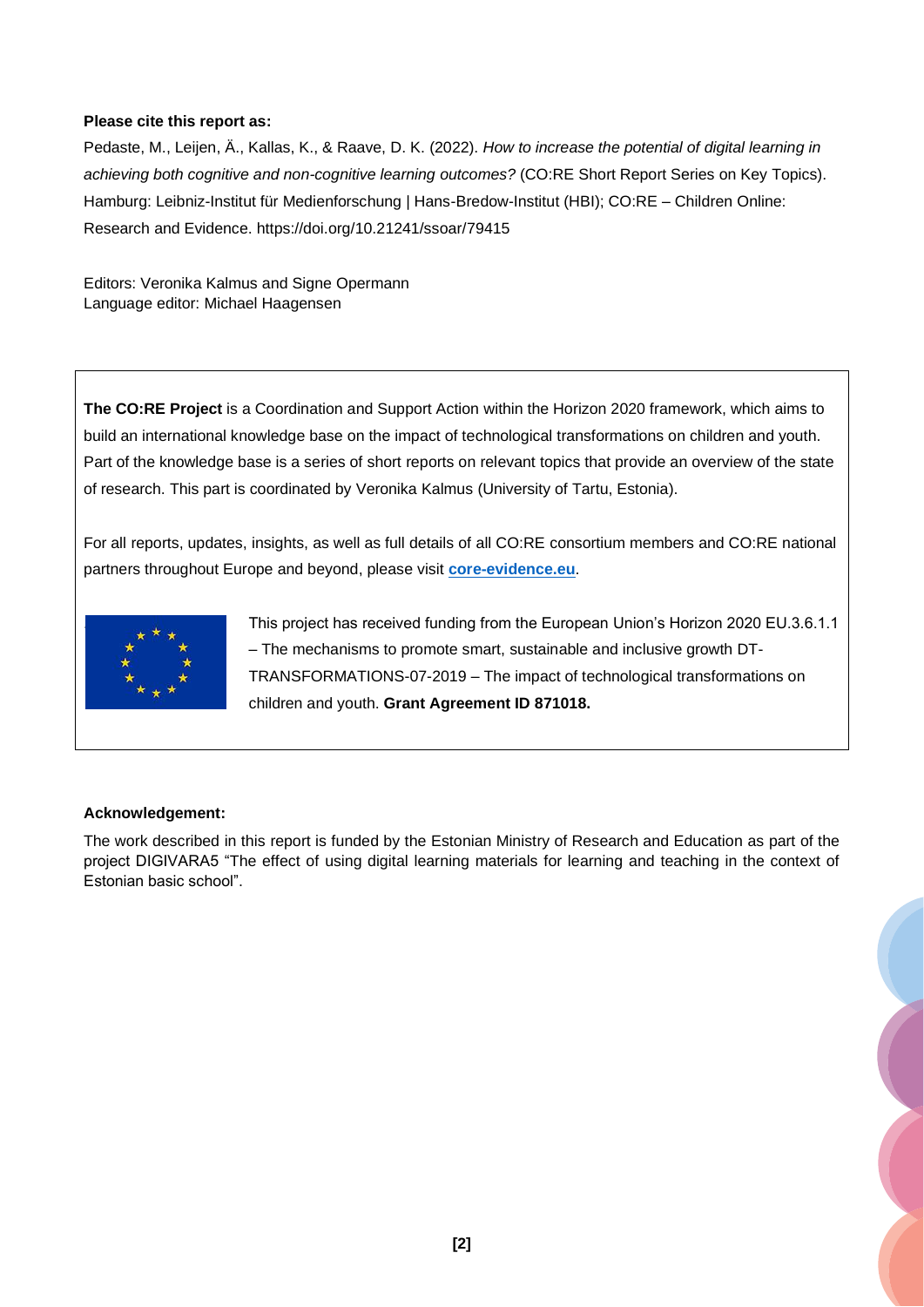#### **Please cite this report as:**

Pedaste, M., Leijen, Ä., Kallas, K., & Raave, D. K. (2022). *How to increase the potential of digital learning in achieving both cognitive and non-cognitive learning outcomes?* (CO:RE Short Report Series on Key Topics). Hamburg: Leibniz-Institut für Medienforschung | Hans-Bredow-Institut (HBI); CO:RE – Children Online: Research and Evidence. https://doi.org/10.21241/ssoar/79415

Editors: Veronika Kalmus and Signe Opermann Language editor: Michael Haagensen

**The CO:RE Project** is a Coordination and Support Action within the Horizon 2020 framework, which aims to build an international knowledge base on the impact of technological transformations on children and youth. Part of the knowledge base is a series of short reports on relevant topics that provide an overview of the state of research. This part is coordinated by Veronika Kalmus (University of Tartu, Estonia).

For all reports, updates, insights, as well as full details of all CO:RE consortium members and CO:RE national partners throughout Europe and beyond, please visit **[core-evidence.eu](https://core-evidence.eu/)**.



. This project has received funding from the European Union's Horizon 2020 EU.3.6.1.1 – The mechanisms to promote smart, sustainable and inclusive growth DT-TRANSFORMATIONS-07-2019 – The impact of technological transformations on children and youth. **Grant Agreement ID 871018.**

#### **Acknowledgement:**

The work described in this report is funded by the Estonian Ministry of Research and Education as part of the project DIGIVARA5 "The effect of using digital learning materials for learning and teaching in the context of Estonian basic school".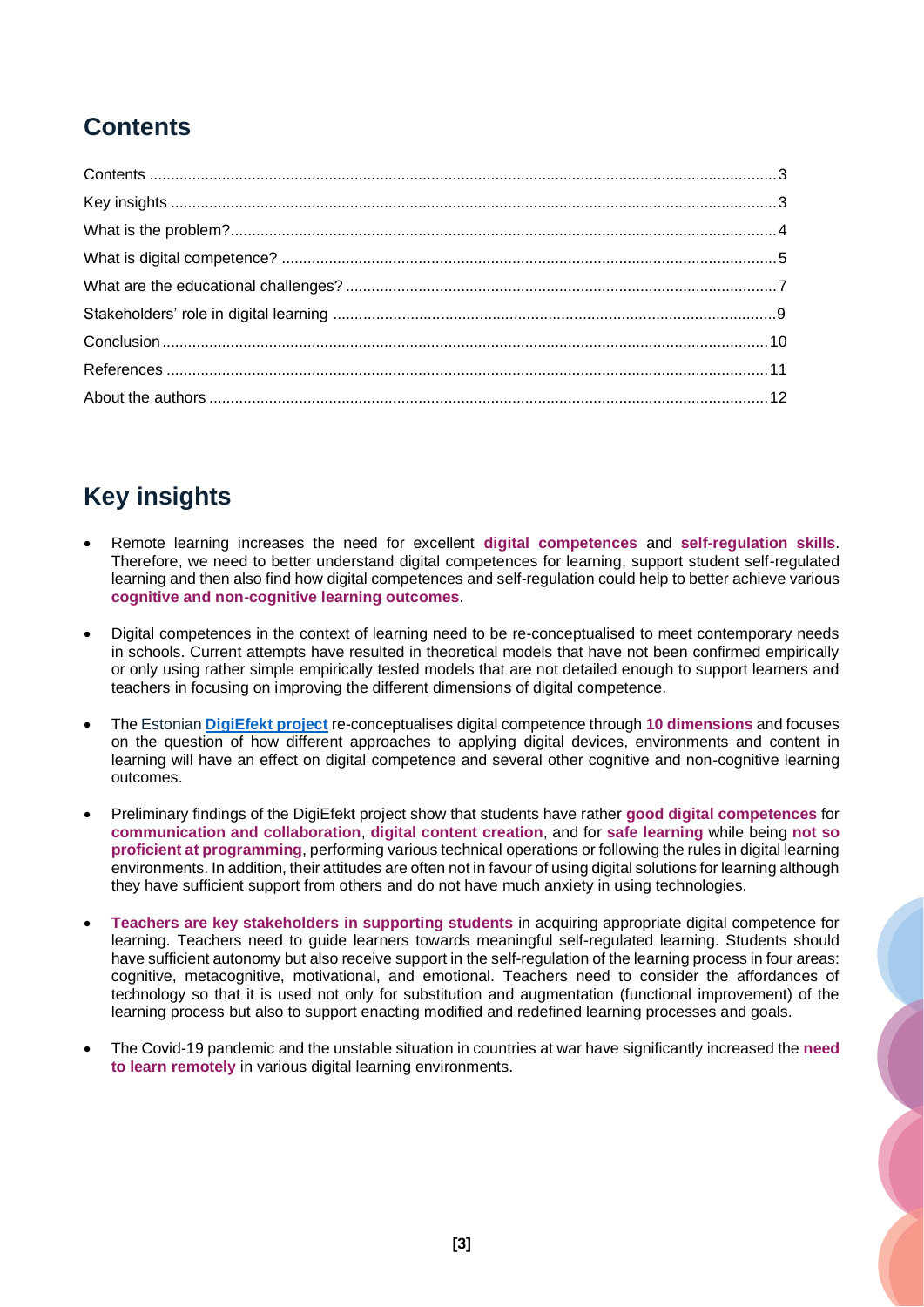## <span id="page-3-0"></span>**Contents**

# <span id="page-3-1"></span>**Key insights**

- Remote learning increases the need for excellent **digital competences** and **self-regulation skills**. Therefore, we need to better understand digital competences for learning, support student self-regulated learning and then also find how digital competences and self-regulation could help to better achieve various **cognitive and non-cognitive learning outcomes**.
- Digital competences in the context of learning need to be re-conceptualised to meet contemporary needs in schools. Current attempts have resulted in theoretical models that have not been confirmed empirically or only using rather simple empirically tested models that are not detailed enough to support learners and teachers in focusing on improving the different dimensions of digital competence.
- The Estonian **[DigiEfekt project](http://digiefekt.ut.ee/)** re-conceptualises digital competence through **10 dimensions** and focuses on the question of how different approaches to applying digital devices, environments and content in learning will have an effect on digital competence and several other cognitive and non-cognitive learning outcomes.
- Preliminary findings of the DigiEfekt project show that students have rather **good digital competences** for **communication and collaboration**, **digital content creation**, and for **safe learning** while being **not so proficient at programming**, performing various technical operations or following the rules in digital learning environments. In addition, their attitudes are often not in favour of using digital solutions for learning although they have sufficient support from others and do not have much anxiety in using technologies.
- **Teachers are key stakeholders in supporting students** in acquiring appropriate digital competence for learning. Teachers need to guide learners towards meaningful self-regulated learning. Students should have sufficient autonomy but also receive support in the self-regulation of the learning process in four areas: cognitive, metacognitive, motivational, and emotional. Teachers need to consider the affordances of technology so that it is used not only for substitution and augmentation (functional improvement) of the learning process but also to support enacting modified and redefined learning processes and goals.
- The Covid-19 pandemic and the unstable situation in countries at war have significantly increased the **need to learn remotely** in various digital learning environments.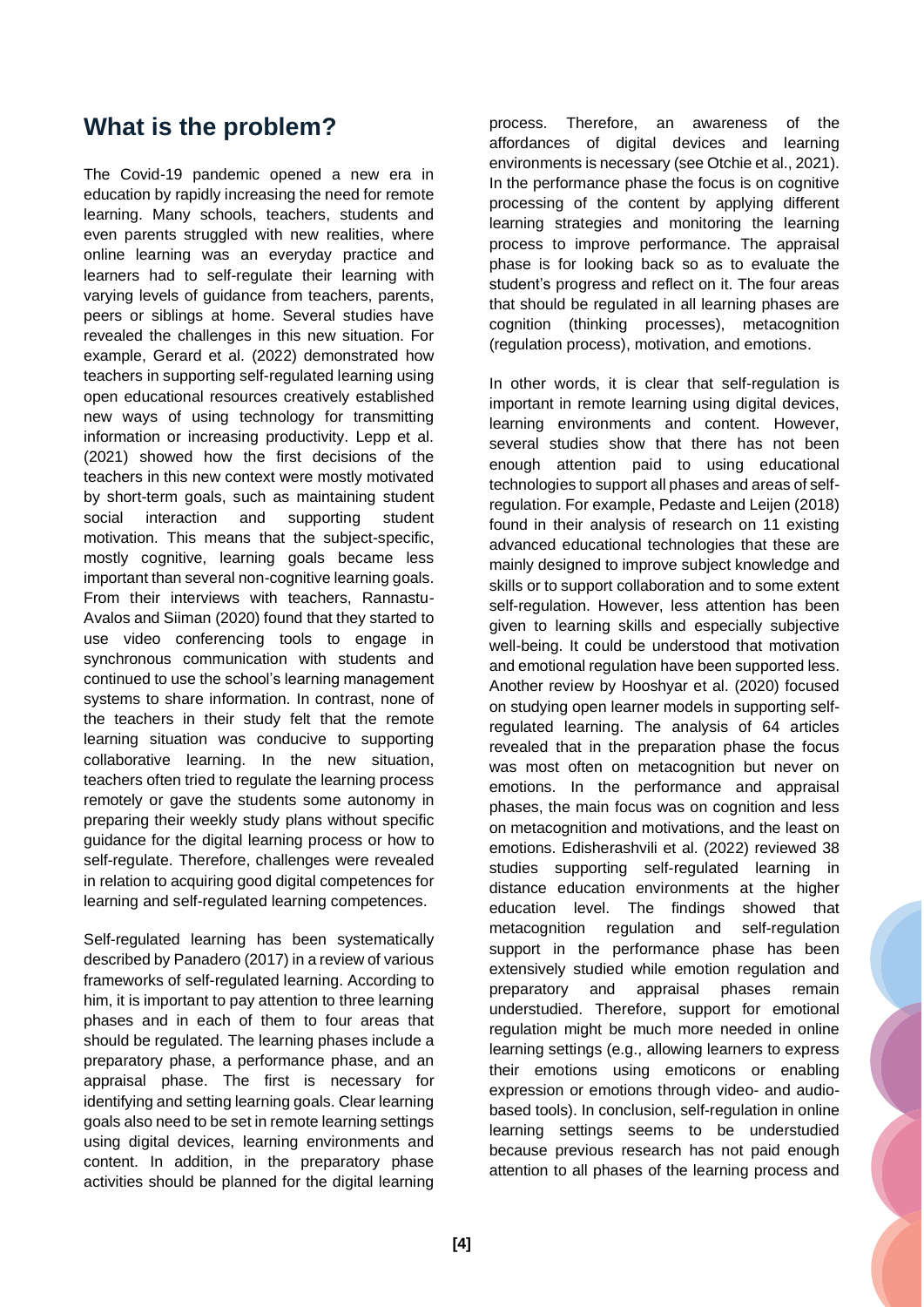### <span id="page-4-0"></span>**What is the problem?**

The Covid-19 pandemic opened a new era in education by rapidly increasing the need for remote learning. Many schools, teachers, students and even parents struggled with new realities, where online learning was an everyday practice and learners had to self-regulate their learning with varying levels of guidance from teachers, parents, peers or siblings at home. Several studies have revealed the challenges in this new situation. For example, Gerard et al. (2022) demonstrated how teachers in supporting self-regulated learning using open educational resources creatively established new ways of using technology for transmitting information or increasing productivity. Lepp et al. (2021) showed how the first decisions of the teachers in this new context were mostly motivated by short-term goals, such as maintaining student social interaction and supporting student motivation. This means that the subject-specific, mostly cognitive, learning goals became less important than several non-cognitive learning goals. From their interviews with teachers, Rannastu-Avalos and Siiman (2020) found that they started to use video conferencing tools to engage in synchronous communication with students and continued to use the school's learning management systems to share information. In contrast, none of the teachers in their study felt that the remote learning situation was conducive to supporting collaborative learning. In the new situation, teachers often tried to regulate the learning process remotely or gave the students some autonomy in preparing their weekly study plans without specific guidance for the digital learning process or how to self-regulate. Therefore, challenges were revealed in relation to acquiring good digital competences for learning and self-regulated learning competences.

Self-regulated learning has been systematically described by Panadero (2017) in a review of various frameworks of self-regulated learning. According to him, it is important to pay attention to three learning phases and in each of them to four areas that should be regulated. The learning phases include a preparatory phase, a performance phase, and an appraisal phase. The first is necessary for identifying and setting learning goals. Clear learning goals also need to be set in remote learning settings using digital devices, learning environments and content. In addition, in the preparatory phase activities should be planned for the digital learning

process. Therefore, an awareness of the affordances of digital devices and learning environments is necessary (see Otchie et al., 2021). In the performance phase the focus is on cognitive processing of the content by applying different learning strategies and monitoring the learning process to improve performance. The appraisal phase is for looking back so as to evaluate the student's progress and reflect on it. The four areas that should be regulated in all learning phases are cognition (thinking processes), metacognition (regulation process), motivation, and emotions.

In other words, it is clear that self-regulation is important in remote learning using digital devices, learning environments and content. However, several studies show that there has not been enough attention paid to using educational technologies to support all phases and areas of selfregulation. For example, Pedaste and Leijen (2018) found in their analysis of research on 11 existing advanced educational technologies that these are mainly designed to improve subject knowledge and skills or to support collaboration and to some extent self-regulation. However, less attention has been given to learning skills and especially subjective well-being. It could be understood that motivation and emotional regulation have been supported less. Another review by Hooshyar et al. (2020) focused on studying open learner models in supporting selfregulated learning. The analysis of 64 articles revealed that in the preparation phase the focus was most often on metacognition but never on emotions. In the performance and appraisal phases, the main focus was on cognition and less on metacognition and motivations, and the least on emotions. Edisherashvili et al. (2022) reviewed 38 studies supporting self-regulated learning in distance education environments at the higher education level. The findings showed that metacognition regulation and self-regulation support in the performance phase has been extensively studied while emotion regulation and preparatory and appraisal phases remain understudied. Therefore, support for emotional regulation might be much more needed in online learning settings (e.g., allowing learners to express their emotions using emoticons or enabling expression or emotions through video- and audiobased tools). In conclusion, self-regulation in online learning settings seems to be understudied because previous research has not paid enough attention to all phases of the learning process and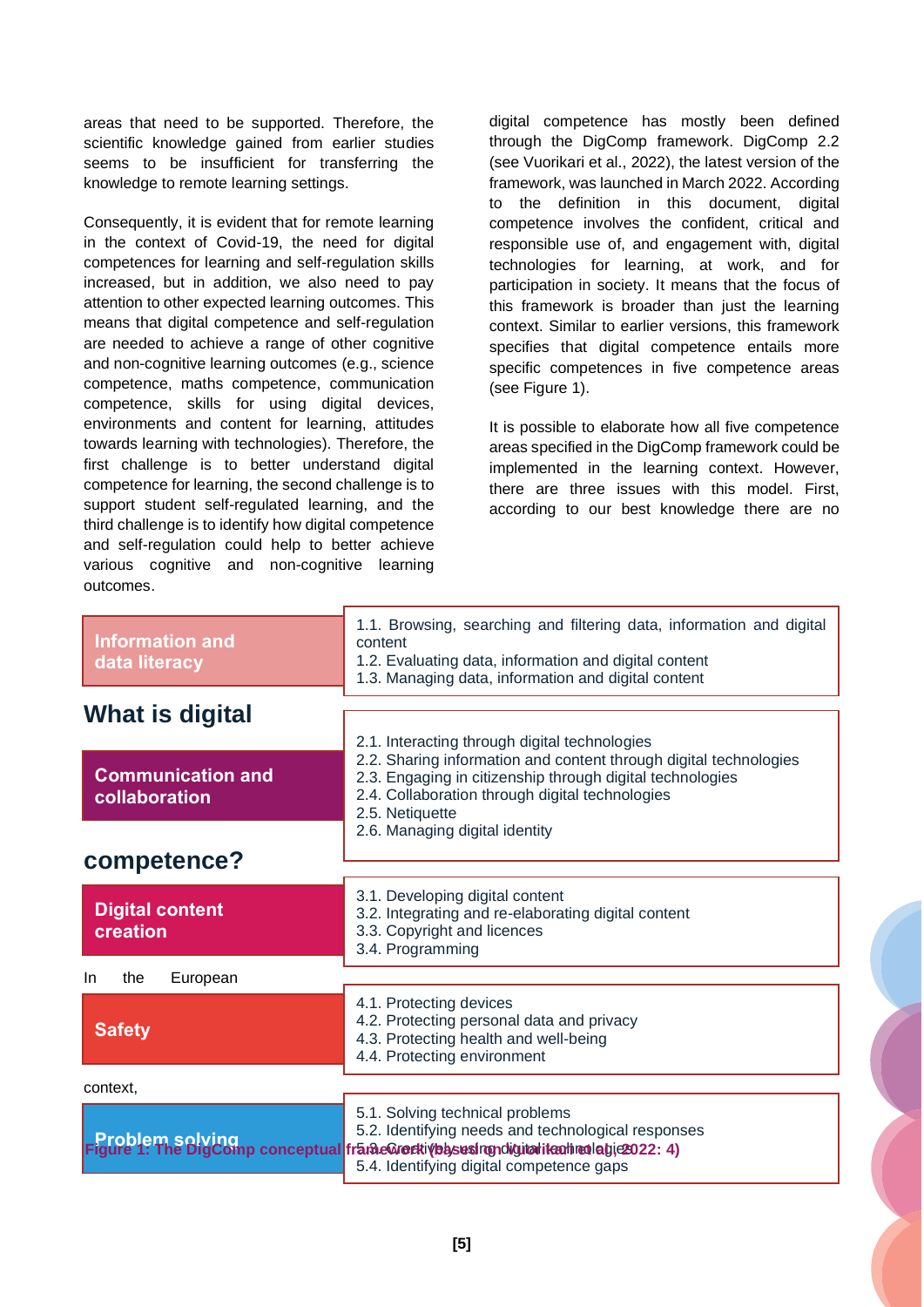areas that need to be supported. Therefore, the scientific knowledge gained from earlier studies seems to be insufficient for transferring the knowledge to remote learning settings.

Consequently, it is evident that for remote learning in the context of Covid-19, the need for digital competences for learning and self-regulation skills increased, but in addition, we also need to pay attention to other expected learning outcomes. This means that digital competence and self-regulation are needed to achieve a range of other cognitive and non-cognitive learning outcomes (e.g., science competence, maths competence, communication competence, skills for using digital devices, environments and content for learning, attitudes towards learning with technologies). Therefore, the first challenge is to better understand digital competence for learning, the second challenge is to support student self-regulated learning, and the third challenge is to identify how digital competence and self-regulation could help to better achieve various cognitive and non-cognitive learning outcomes.

digital competence has mostly been defined through the DigComp framework. DigComp 2.2 (see Vuorikari et al., 2022), the latest version of the framework, was launched in March 2022. According to the definition in this document, digital competence involves the confident, critical and responsible use of, and engagement with, digital technologies for learning, at work, and for participation in society. It means that the focus of this framework is broader than just the learning context. Similar to earlier versions, this framework specifies that digital competence entails more specific competences in five competence areas (see Figure 1).

It is possible to elaborate how all five competence areas specified in the DigComp framework could be implemented in the learning context. However, there are three issues with this model. First, according to our best knowledge there are no

<span id="page-5-0"></span>

| <b>Information and</b><br>data literacy   | 1.1. Browsing, searching and filtering data, information and digital<br>content<br>1.2. Evaluating data, information and digital content<br>1.3. Managing data, information and digital content                                                       |
|-------------------------------------------|-------------------------------------------------------------------------------------------------------------------------------------------------------------------------------------------------------------------------------------------------------|
| What is digital                           |                                                                                                                                                                                                                                                       |
| <b>Communication and</b><br>collaboration | 2.1. Interacting through digital technologies<br>2.2. Sharing information and content through digital technologies<br>2.3. Engaging in citizenship through digital technologies<br>2.4. Collaboration through digital technologies<br>2.5. Netiquette |
| competence?                               | 2.6. Managing digital identity                                                                                                                                                                                                                        |
| <b>Digital content</b><br>creation        | 3.1. Developing digital content<br>3.2. Integrating and re-elaborating digital content<br>3.3. Copyright and licences<br>3.4. Programming                                                                                                             |
| In.<br>the<br>European                    |                                                                                                                                                                                                                                                       |
| <b>Safety</b>                             | 4.1. Protecting devices<br>4.2. Protecting personal data and privacy<br>4.3. Protecting health and well-being<br>4.4. Protecting environment                                                                                                          |
| context,                                  |                                                                                                                                                                                                                                                       |
|                                           | 5.1. Solving technical problems<br>5.2. Identifying needs and technological responses<br>Problem solving<br>igure 1: The DigComp conceptual frame@reftivessesingndigitalitenhienlagie2022: 4)<br>5.4. Identifying digital competence gaps             |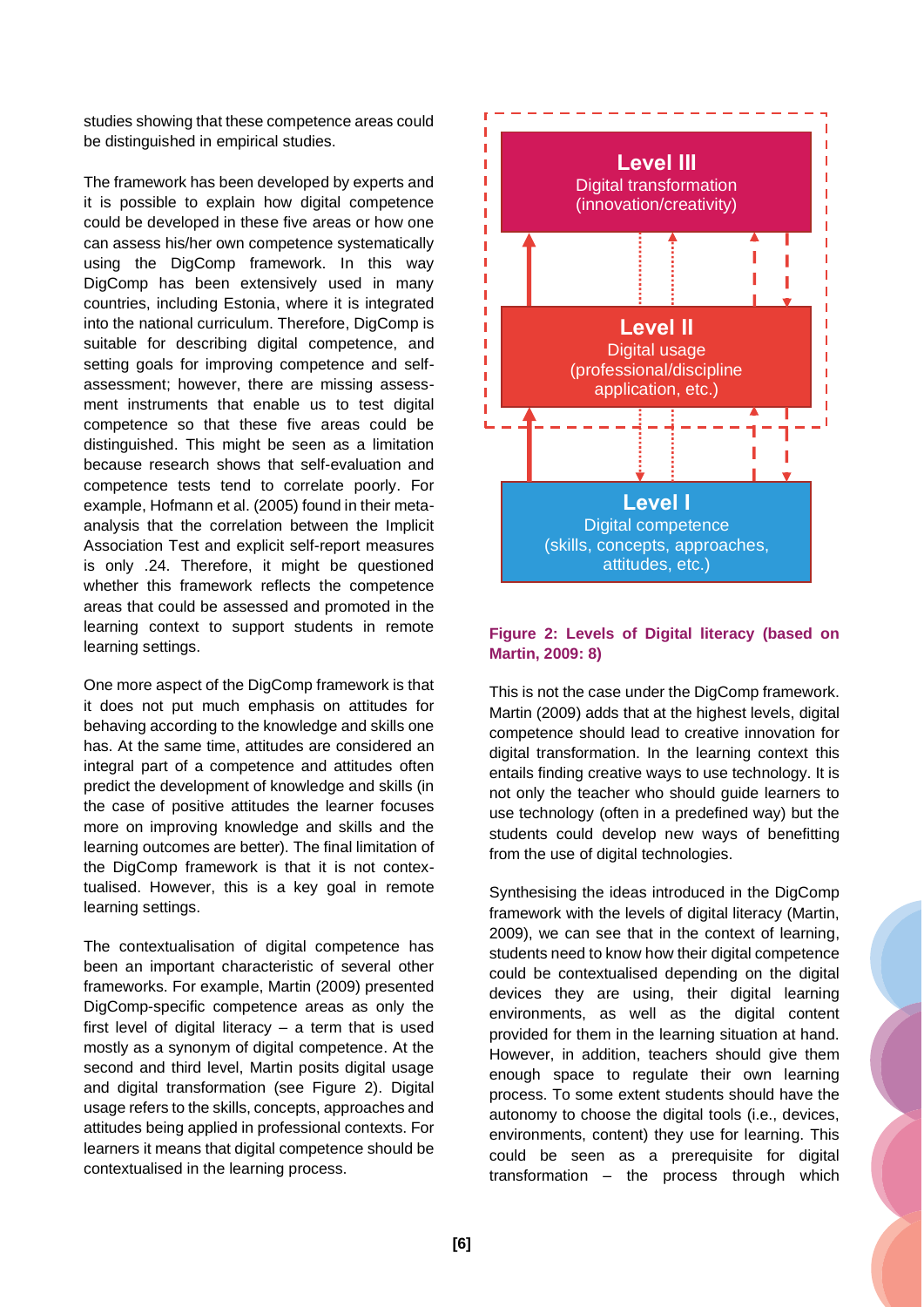studies showing that these competence areas could be distinguished in empirical studies.

The framework has been developed by experts and it is possible to explain how digital competence could be developed in these five areas or how one can assess his/her own competence systematically using the DigComp framework. In this way DigComp has been extensively used in many countries, including Estonia, where it is integrated into the national curriculum. Therefore, DigComp is suitable for describing digital competence, and setting goals for improving competence and selfassessment; however, there are missing assessment instruments that enable us to test digital competence so that these five areas could be distinguished. This might be seen as a limitation because research shows that self-evaluation and competence tests tend to correlate poorly. For example, Hofmann et al. (2005) found in their metaanalysis that the correlation between the Implicit Association Test and explicit self-report measures is only .24. Therefore, it might be questioned whether this framework reflects the competence areas that could be assessed and promoted in the learning context to support students in remote learning settings.

One more aspect of the DigComp framework is that it does not put much emphasis on attitudes for behaving according to the knowledge and skills one has. At the same time, attitudes are considered an integral part of a competence and attitudes often predict the development of knowledge and skills (in the case of positive attitudes the learner focuses more on improving knowledge and skills and the learning outcomes are better). The final limitation of the DigComp framework is that it is not contextualised. However, this is a key goal in remote learning settings.

The contextualisation of digital competence has been an important characteristic of several other frameworks. For example, Martin (2009) presented DigComp-specific competence areas as only the first level of digital literacy – a term that is used mostly as a synonym of digital competence. At the second and third level, Martin posits digital usage and digital transformation (see Figure 2). Digital usage refers to the skills, concepts, approaches and attitudes being applied in professional contexts. For learners it means that digital competence should be contextualised in the learning process.



#### **Figure 2: Levels of Digital literacy (based on Martin, 2009: 8)**

This is not the case under the DigComp framework. Martin (2009) adds that at the highest levels, digital competence should lead to creative innovation for digital transformation. In the learning context this entails finding creative ways to use technology. It is not only the teacher who should guide learners to use technology (often in a predefined way) but the students could develop new ways of benefitting from the use of digital technologies.

Synthesising the ideas introduced in the DigComp framework with the levels of digital literacy (Martin, 2009), we can see that in the context of learning, students need to know how their digital competence could be contextualised depending on the digital devices they are using, their digital learning environments, as well as the digital content provided for them in the learning situation at hand. However, in addition, teachers should give them enough space to regulate their own learning process. To some extent students should have the autonomy to choose the digital tools (i.e., devices, environments, content) they use for learning. This could be seen as a prerequisite for digital transformation – the process through which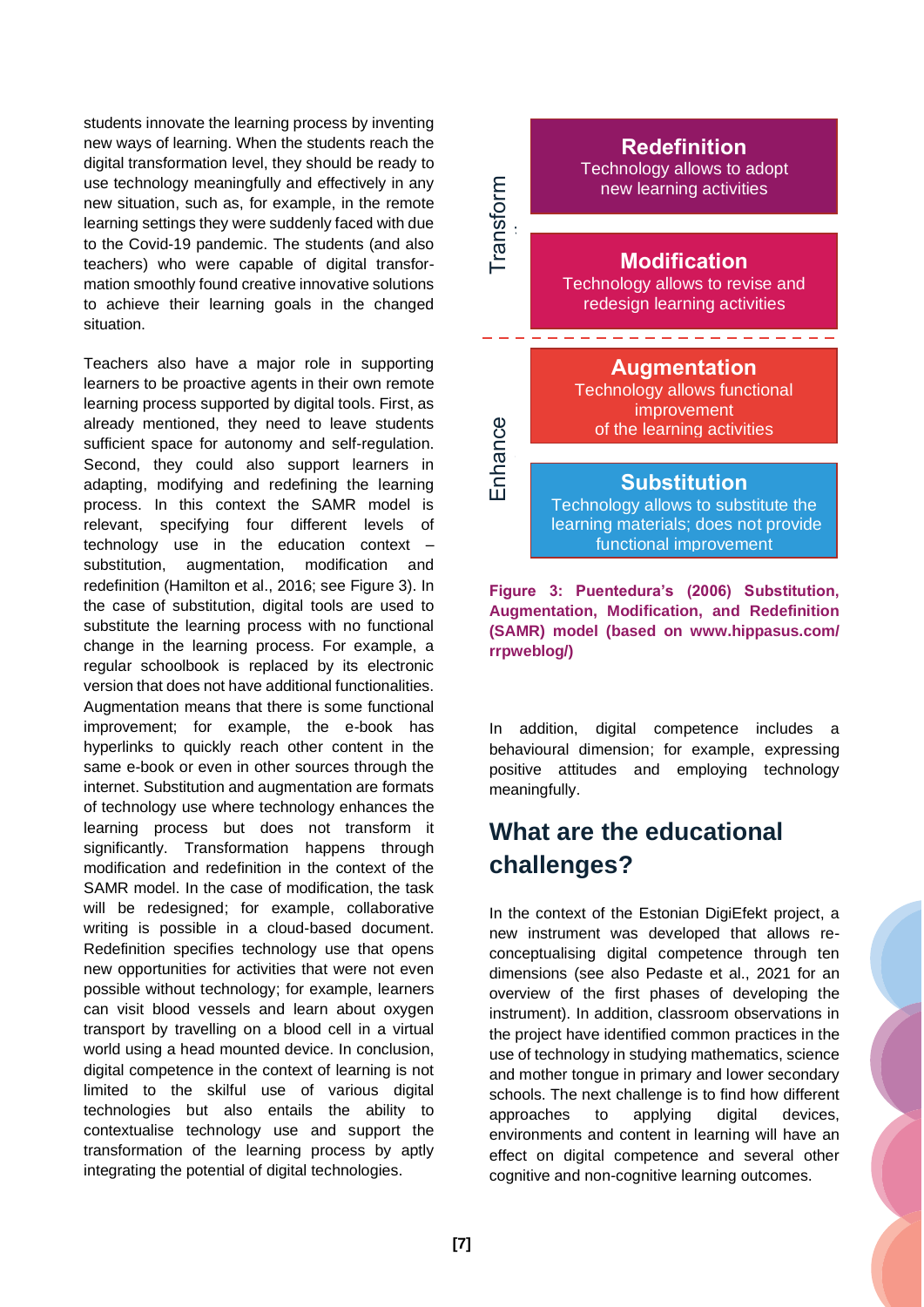students innovate the learning process by inventing new ways of learning. When the students reach the digital transformation level, they should be ready to use technology meaningfully and effectively in any new situation, such as, for example, in the remote learning settings they were suddenly faced with due to the Covid-19 pandemic. The students (and also teachers) who were capable of digital transformation smoothly found creative innovative solutions to achieve their learning goals in the changed situation.

Teachers also have a major role in supporting learners to be proactive agents in their own remote learning process supported by digital tools. First, as already mentioned, they need to leave students sufficient space for autonomy and self-regulation. Second, they could also support learners in adapting, modifying and redefining the learning process. In this context the SAMR model is relevant, specifying four different levels of technology use in the education context – substitution, augmentation, modification and redefinition (Hamilton et al., 2016; see Figure 3). In the case of substitution, digital tools are used to substitute the learning process with no functional change in the learning process. For example, a regular schoolbook is replaced by its electronic version that does not have additional functionalities. Augmentation means that there is some functional improvement; for example, the e-book has hyperlinks to quickly reach other content in the same e-book or even in other sources through the internet. Substitution and augmentation are formats of technology use where technology enhances the learning process but does not transform it significantly. Transformation happens through modification and redefinition in the context of the SAMR model. In the case of modification, the task will be redesigned; for example, collaborative writing is possible in a cloud-based document. Redefinition specifies technology use that opens new opportunities for activities that were not even possible without technology; for example, learners can visit blood vessels and learn about oxygen transport by travelling on a blood cell in a virtual world using a head mounted device. In conclusion, digital competence in the context of learning is not limited to the skilful use of various digital technologies but also entails the ability to contextualise technology use and support the transformation of the learning process by aptly integrating the potential of digital technologies.



learning materials; does not provide functional improvement

**Figure 3: Puentedura's (2006) Substitution, Augmentation, Modification, and Redefinition (SAMR) model (based on www.hippasus.com/ rrpweblog/)**

In addition, digital competence includes a behavioural dimension; for example, expressing positive attitudes and employing technology meaningfully.

# <span id="page-7-0"></span>**What are the educational challenges?**

In the context of the Estonian DigiEfekt project, a new instrument was developed that allows reconceptualising digital competence through ten dimensions (see also Pedaste et al., 2021 for an overview of the first phases of developing the instrument). In addition, classroom observations in the project have identified common practices in the use of technology in studying mathematics, science and mother tongue in primary and lower secondary schools. The next challenge is to find how different approaches to applying digital devices, environments and content in learning will have an effect on digital competence and several other cognitive and non-cognitive learning outcomes.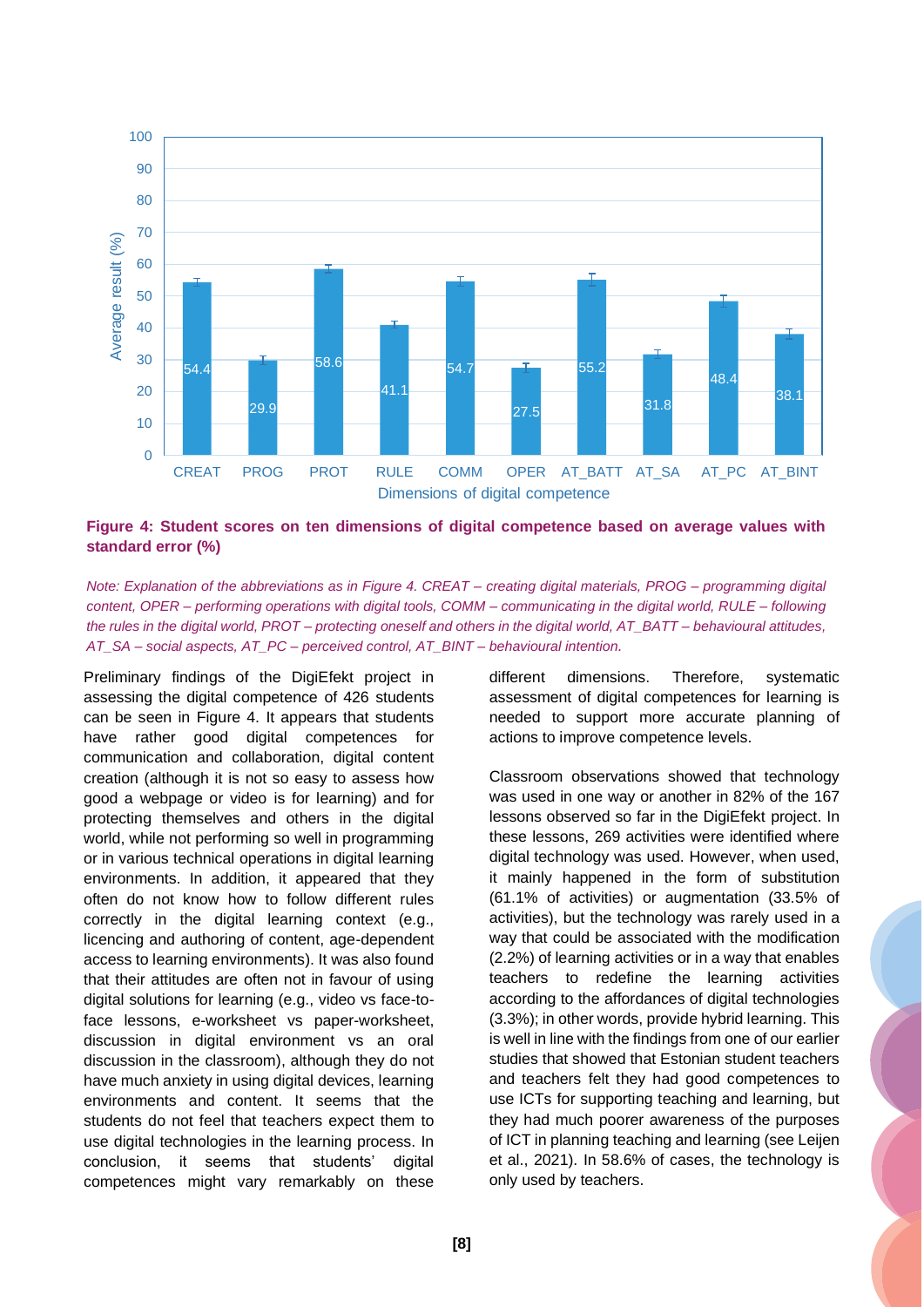

**Figure 4: Student scores on ten dimensions of digital competence based on average values with standard error (%)**

*Note: Explanation of the abbreviations as in Figure 4. CREAT – creating digital materials, PROG – programming digital content, OPER – performing operations with digital tools, COMM – communicating in the digital world, RULE – following the rules in the digital world, PROT – protecting oneself and others in the digital world, AT\_BATT – behavioural attitudes, AT\_SA – social aspects, AT\_PC – perceived control, AT\_BINT – behavioural intention.*

Preliminary findings of the DigiEfekt project in assessing the digital competence of 426 students can be seen in Figure 4. It appears that students have rather good digital competences for communication and collaboration, digital content creation (although it is not so easy to assess how good a webpage or video is for learning) and for protecting themselves and others in the digital world, while not performing so well in programming or in various technical operations in digital learning environments. In addition, it appeared that they often do not know how to follow different rules correctly in the digital learning context (e.g., licencing and authoring of content, age-dependent access to learning environments). It was also found that their attitudes are often not in favour of using digital solutions for learning (e.g., video vs face-toface lessons, e-worksheet vs paper-worksheet, discussion in digital environment vs an oral discussion in the classroom), although they do not have much anxiety in using digital devices, learning environments and content. It seems that the students do not feel that teachers expect them to use digital technologies in the learning process. In conclusion, it seems that students' digital competences might vary remarkably on these

different dimensions. Therefore, systematic assessment of digital competences for learning is needed to support more accurate planning of actions to improve competence levels.

Classroom observations showed that technology was used in one way or another in 82% of the 167 lessons observed so far in the DigiEfekt project. In these lessons, 269 activities were identified where digital technology was used. However, when used, it mainly happened in the form of substitution (61.1% of activities) or augmentation (33.5% of activities), but the technology was rarely used in a way that could be associated with the modification (2.2%) of learning activities or in a way that enables teachers to redefine the learning activities according to the affordances of digital technologies (3.3%); in other words, provide hybrid learning. This is well in line with the findings from one of our earlier studies that showed that Estonian student teachers and teachers felt they had good competences to use ICTs for supporting teaching and learning, but they had much poorer awareness of the purposes of ICT in planning teaching and learning (see Leijen et al., 2021). In 58.6% of cases, the technology is only used by teachers.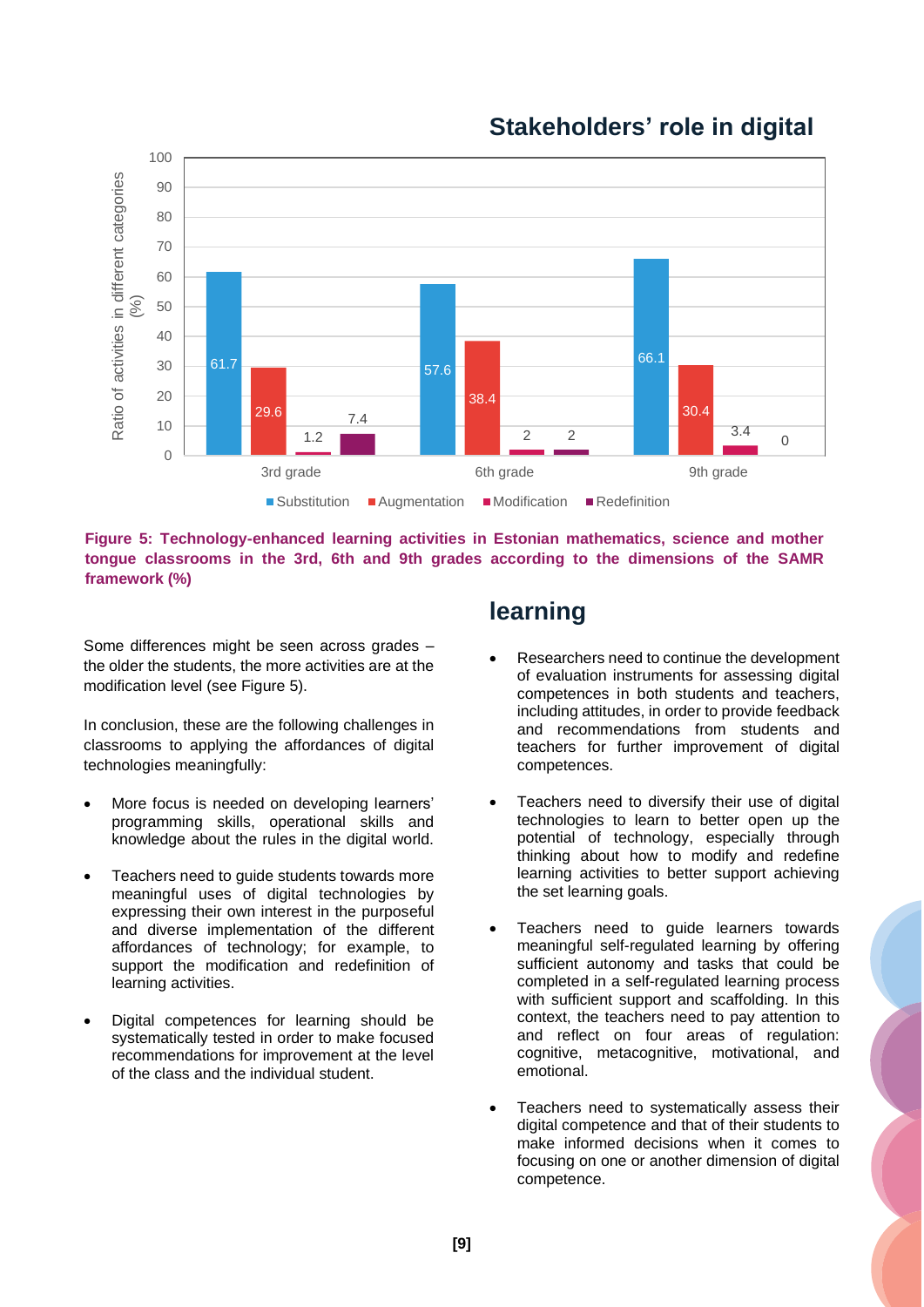

## <span id="page-9-0"></span>**Stakeholders' role in digital**

**Figure 5: Technology-enhanced learning activities in Estonian mathematics, science and mother tongue classrooms in the 3rd, 6th and 9th grades according to the dimensions of the SAMR framework (%)**

Some differences might be seen across grades – the older the students, the more activities are at the modification level (see Figure 5).

In conclusion, these are the following challenges in classrooms to applying the affordances of digital technologies meaningfully:

- More focus is needed on developing learners' programming skills, operational skills and knowledge about the rules in the digital world.
- Teachers need to guide students towards more meaningful uses of digital technologies by expressing their own interest in the purposeful and diverse implementation of the different affordances of technology; for example, to support the modification and redefinition of learning activities.
- Digital competences for learning should be systematically tested in order to make focused recommendations for improvement at the level of the class and the individual student.

## **learning**

- Researchers need to continue the development of evaluation instruments for assessing digital competences in both students and teachers, including attitudes, in order to provide feedback and recommendations from students and teachers for further improvement of digital competences.
- Teachers need to diversify their use of digital technologies to learn to better open up the potential of technology, especially through thinking about how to modify and redefine learning activities to better support achieving the set learning goals.
- Teachers need to guide learners towards meaningful self-regulated learning by offering sufficient autonomy and tasks that could be completed in a self-regulated learning process with sufficient support and scaffolding. In this context, the teachers need to pay attention to and reflect on four areas of regulation: cognitive, metacognitive, motivational, and emotional.
- Teachers need to systematically assess their digital competence and that of their students to make informed decisions when it comes to focusing on one or another dimension of digital competence.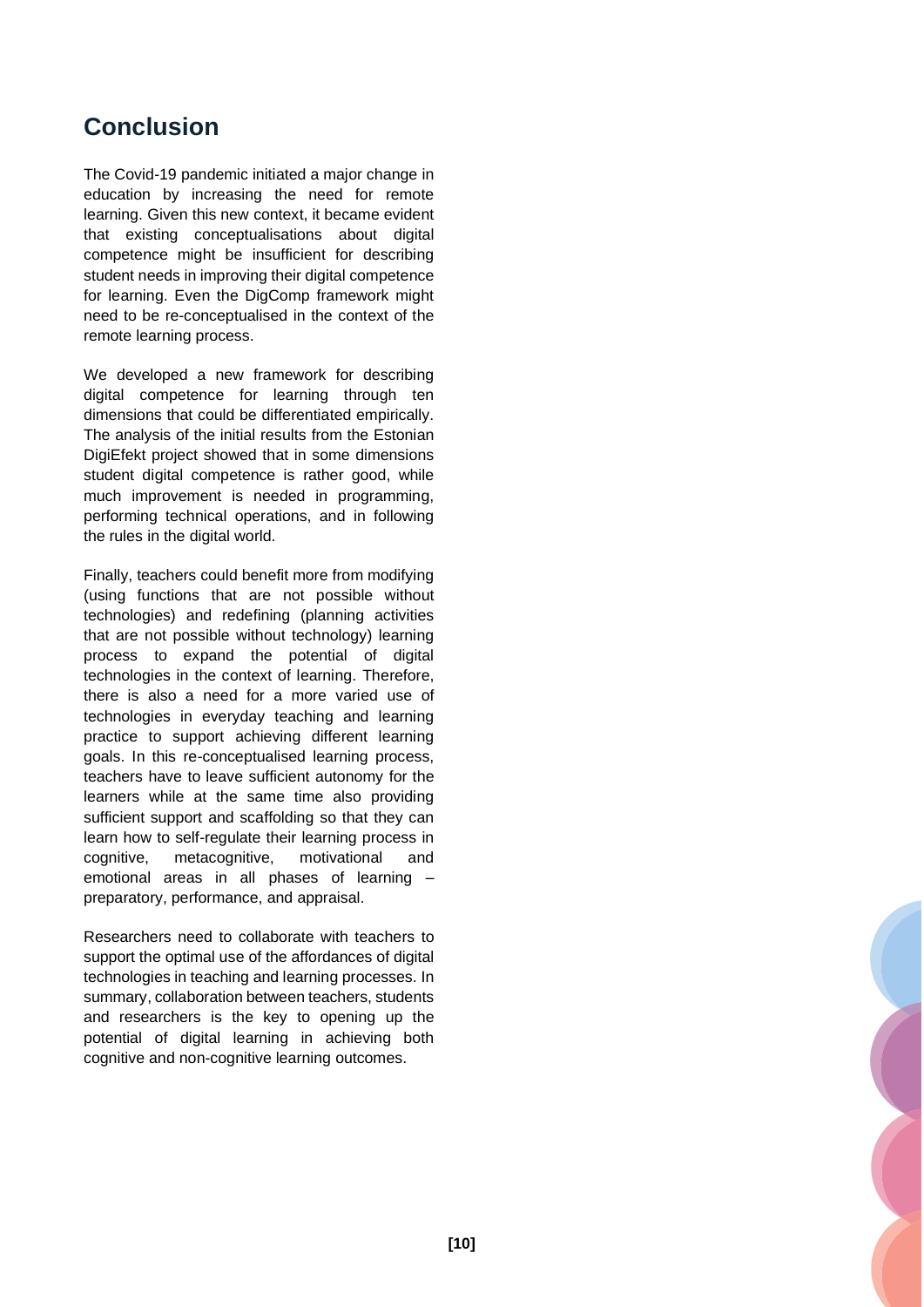## <span id="page-10-0"></span>**Conclusion**

The Covid-19 pandemic initiated a major change in education by increasing the need for remote learning. Given this new context, it became evident that existing conceptualisations about digital competence might be insufficient for describing student needs in improving their digital competence for learning. Even the DigComp framework might need to be re-conceptualised in the context of the remote learning process.

We developed a new framework for describing digital competence for learning through ten dimensions that could be differentiated empirically. The analysis of the initial results from the Estonian DigiEfekt project showed that in some dimensions student digital competence is rather good, while much improvement is needed in programming, performing technical operations, and in following the rules in the digital world.

Finally, teachers could benefit more from modifying (using functions that are not possible without technologies) and redefining (planning activities that are not possible without technology) learning process to expand the potential of digital technologies in the context of learning. Therefore, there is also a need for a more varied use of technologies in everyday teaching and learning practice to support achieving different learning goals. In this re-conceptualised learning process, teachers have to leave sufficient autonomy for the learners while at the same time also providing sufficient support and scaffolding so that they can learn how to self-regulate their learning process in cognitive, metacognitive, motivational and emotional areas in all phases of learning – preparatory, performance, and appraisal.

Researchers need to collaborate with teachers to support the optimal use of the affordances of digital technologies in teaching and learning processes. In summary, collaboration between teachers, students and researchers is the key to opening up the potential of digital learning in achieving both cognitive and non-cognitive learning outcomes.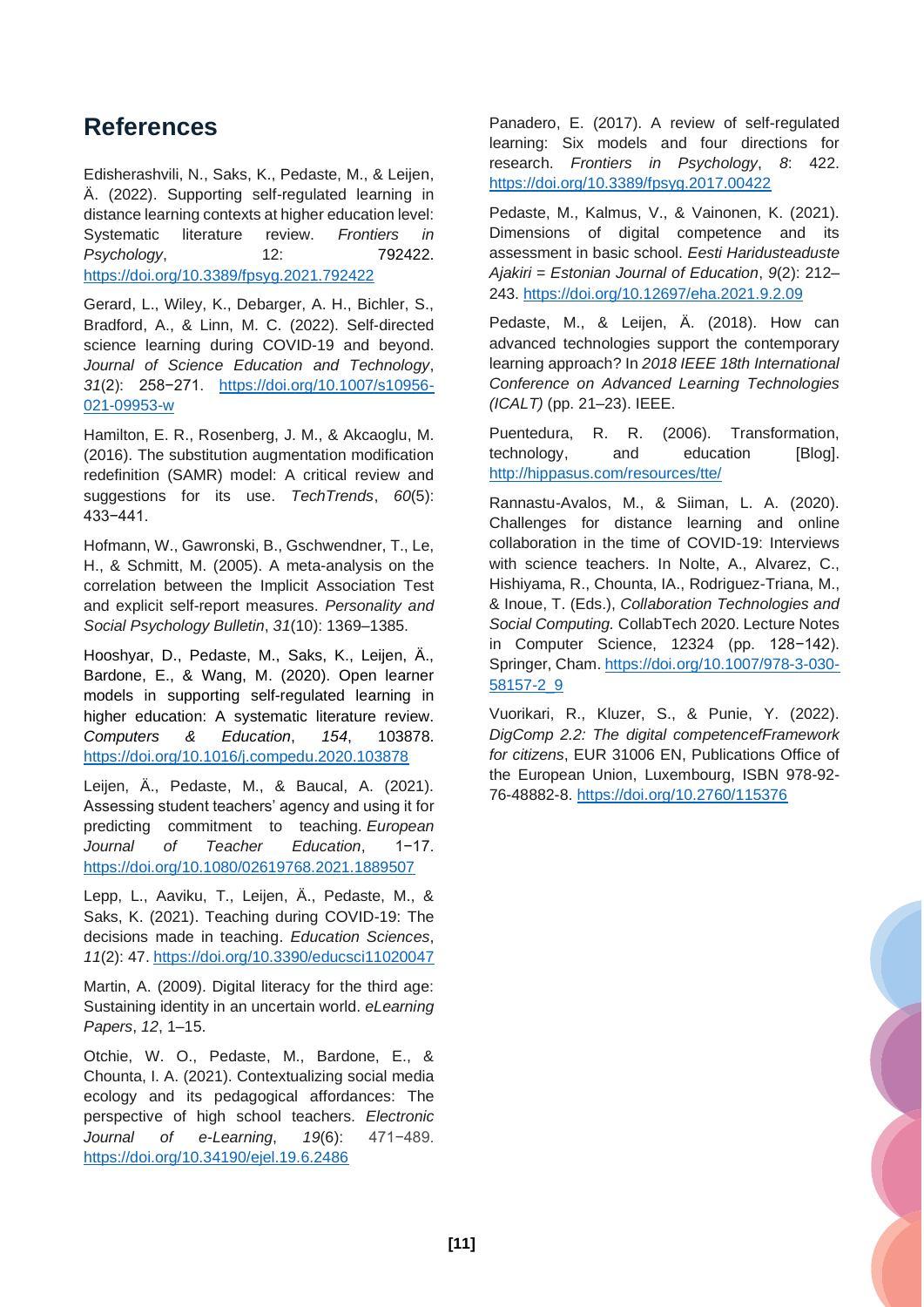## <span id="page-11-0"></span>**References**

Edisherashvili, N., Saks, K., Pedaste, M., & Leijen, Ä. (2022). Supporting self-regulated learning in distance learning contexts at higher education level: Systematic literature review. *Frontiers in Psychology*, 12: 792422. <https://doi.org/10.3389/fpsyg.2021.792422>

Gerard, L., Wiley, K., Debarger, A. H., Bichler, S., Bradford, A., & Linn, M. C. (2022). Self-directed science learning during COVID-19 and beyond. *Journal of Science Education and Technology*, *31*(2): 258−271. https://doi.org/10.1007/s10956- 021-09953-w

Hamilton, E. R., Rosenberg, J. M., & Akcaoglu, M. (2016). The substitution augmentation modification redefinition (SAMR) model: A critical review and suggestions for its use. *TechTrends*, *60*(5): 433−441.

Hofmann, W., Gawronski, B., Gschwendner, T., Le, H., & Schmitt, M. (2005). A meta-analysis on the correlation between the Implicit Association Test and explicit self-report measures. *Personality and Social Psychology Bulletin*, *31*(10): 1369–1385.

Hooshyar, D., Pedaste, M., Saks, K., Leijen, Ä., Bardone, E., & Wang, M. (2020). Open learner models in supporting self-regulated learning in higher education: A systematic literature review. *Computers & Education*, *154*, 103878. <https://doi.org/10.1016/j.compedu.2020.103878>

Leijen, Ä., Pedaste, M., & Baucal, A. (2021). Assessing student teachers' agency and using it for predicting commitment to teaching. *European Journal of Teacher Education*, 1−17. <https://doi.org/10.1080/02619768.2021.1889507>

Lepp, L., Aaviku, T., Leijen, Ä., Pedaste, M., & Saks, K. (2021). Teaching during COVID-19: The decisions made in teaching. *Education Sciences*, *11*(2): 47. <https://doi.org/10.3390/educsci11020047>

Martin, A. (2009). Digital literacy for the third age: Sustaining identity in an uncertain world. *eLearning Papers*, *12*, 1–15.

Otchie, W. O., Pedaste, M., Bardone, E., & Chounta, I. A. (2021). Contextualizing social media ecology and its pedagogical affordances: The perspective of high school teachers. *Electronic Journal of e-Learning*, *19*(6): 471−489. <https://doi.org/10.34190/ejel.19.6.2486>

Panadero, E. (2017). A review of self-regulated learning: Six models and four directions for research. *Frontiers in Psychology*, *8*: 422. <https://doi.org/10.3389/fpsyg.2017.00422>

Pedaste, M., Kalmus, V., & Vainonen, K. (2021). Dimensions of digital competence and its assessment in basic school. *Eesti Haridusteaduste Ajakiri* = *Estonian Journal of Education*, *9*(2): 212– 243. <https://doi.org/10.12697/eha.2021.9.2.09>

Pedaste, M., & Leijen, Ä. (2018). How can advanced technologies support the contemporary learning approach? In *2018 IEEE 18th International Conference on Advanced Learning Technologies (ICALT)* (pp. 21–23). IEEE.

Puentedura, R. R. (2006). Transformation, technology, and education [Blog]. <http://hippasus.com/resources/tte/>

Rannastu-Avalos, M., & Siiman, L. A. (2020). Challenges for distance learning and online collaboration in the time of COVID-19: Interviews with science teachers. In Nolte, A., Alvarez, C., Hishiyama, R., Chounta, IA., Rodriguez-Triana, M., & Inoue, T. (Eds.), *Collaboration Technologies and Social Computing.* CollabTech 2020. Lecture Notes in Computer Science, 12324 (pp. 128−142). Springer, Cham. [https://doi.org/10.1007/978-3-030-](https://doi.org/10.1007/978-3-030-58157-2_9) [58157-2\\_9](https://doi.org/10.1007/978-3-030-58157-2_9)

Vuorikari, R., Kluzer, S., & Punie, Y. (2022). *DigComp 2.2: The digital competencefFramework for citizens*, EUR 31006 EN, Publications Office of the European Union, Luxembourg, ISBN 978-92- 76-48882-8. <https://doi.org/10.2760/115376>